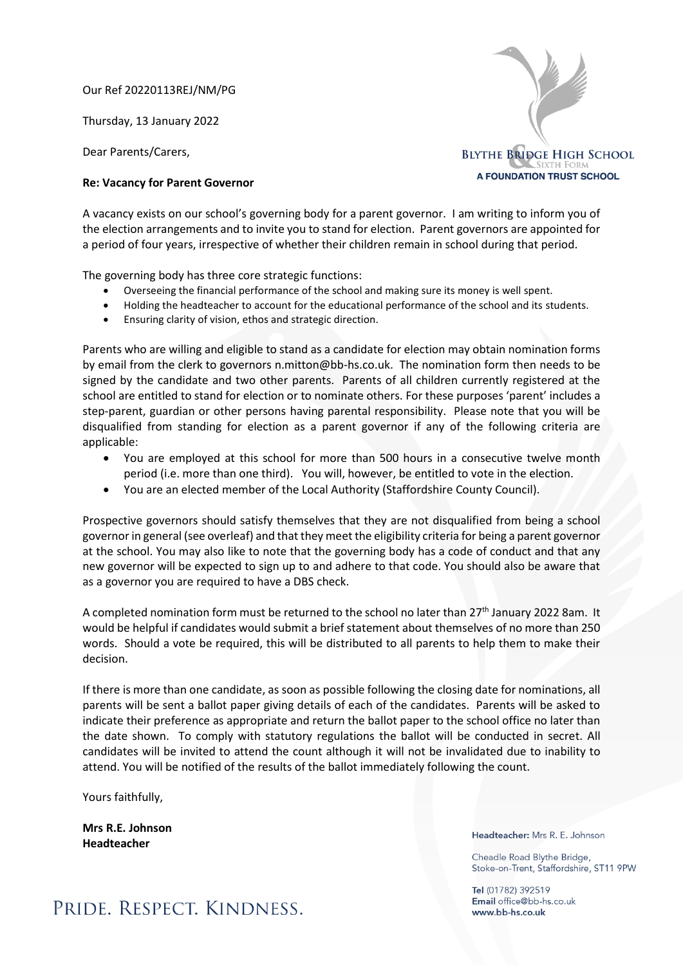Our Ref 20220113REJ/NM/PG

Thursday, 13 January 2022

Dear Parents/Carers,

## **Re: Vacancy for Parent Governor**

A vacancy exists on our school's governing body for a parent governor. I am writing to inform you of the election arrangements and to invite you to stand for election. Parent governors are appointed for a period of four years, irrespective of whether their children remain in school during that period.

The governing body has three core strategic functions:

- Overseeing the financial performance of the school and making sure its money is well spent.
- Holding the headteacher to account for the educational performance of the school and its students.
- Ensuring clarity of vision, ethos and strategic direction.

Parents who are willing and eligible to stand as a candidate for election may obtain nomination forms by email from the clerk to governors n.mitton@bb-hs.co.uk. The nomination form then needs to be signed by the candidate and two other parents. Parents of all children currently registered at the school are entitled to stand for election or to nominate others. For these purposes 'parent' includes a step-parent, guardian or other persons having parental responsibility. Please note that you will be disqualified from standing for election as a parent governor if any of the following criteria are applicable:

- You are employed at this school for more than 500 hours in a consecutive twelve month period (i.e. more than one third). You will, however, be entitled to vote in the election.
- You are an elected member of the Local Authority (Staffordshire County Council).

Prospective governors should satisfy themselves that they are not disqualified from being a school governor in general (see overleaf) and that they meet the eligibility criteria for being a parent governor at the school. You may also like to note that the governing body has a code of conduct and that any new governor will be expected to sign up to and adhere to that code. You should also be aware that as a governor you are required to have a DBS check.

A completed nomination form must be returned to the school no later than 27<sup>th</sup> January 2022 8am. It would be helpful if candidates would submit a brief statement about themselves of no more than 250 words. Should a vote be required, this will be distributed to all parents to help them to make their decision.

If there is more than one candidate, as soon as possible following the closing date for nominations, all parents will be sent a ballot paper giving details of each of the candidates. Parents will be asked to indicate their preference as appropriate and return the ballot paper to the school office no later than the date shown. To comply with statutory regulations the ballot will be conducted in secret. All candidates will be invited to attend the count although it will not be invalidated due to inability to attend. You will be notified of the results of the ballot immediately following the count.

Yours faithfully,

**Mrs R.E. Johnson Headteacher**

Headteacher: Mrs R. E. Johnson

Cheadle Road Blythe Bridge, Stoke-on-Trent, Staffordshire, ST11 9PW

Tel (01782) 392519 Email office@bb-hs.co.uk www.bb-hs.co.uk



## PRIDE. RESPECT. KINDNESS.